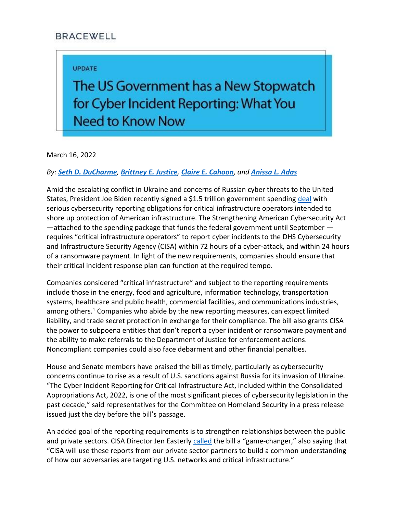## **BRACEWELL**

## **UPDATE**

The US Government has a New Stopwatch for Cyber Incident Reporting: What You **Need to Know Now** 

March 16, 2022

## *By: [Seth D. DuCharme](https://bracewell.com/people/seth-d-ducharme), [Brittney E. Justice](https://bracewell.com/people/brittney-e-justice), [Claire E. Cahoon](https://bracewell.com/people/claire-e-cahoon), and [Anissa L. Adas](https://bracewell.com/people/anissa-l-adas)*

Amid the escalating conflict in Ukraine and concerns of Russian cyber threats to the United States, President Joe Biden recently signed a \$1.5 trillion government spending [deal](https://rules.house.gov/sites/democrats.rules.house.gov/files/BILLS-117HR2471SA-RCP-117-35.pdf) with serious cybersecurity reporting obligations for critical infrastructure operators intended to shore up protection of American infrastructure. The Strengthening American Cybersecurity Act  $-$ attached to the spending package that funds the federal government until September  $$ requires "critical infrastructure operators" to report cyber incidents to the DHS Cybersecurity and Infrastructure Security Agency (CISA) within 72 hours of a cyber-attack, and within 24 hours of a ransomware payment. In light of the new requirements, companies should ensure that their critical incident response plan can function at the required tempo.

Companies considered "critical infrastructure" and subject to the reporting requirements include those in the energy, food and agriculture, information technology, transportation systems, healthcare and public health, commercial facilities, and communications industries, among others.<sup>1</sup> Companies who abide by the new reporting measures, can expect limited liability, and trade secret protection in exchange for their compliance. The bill also grants CISA the power to subpoena entities that don't report a cyber incident or ransomware payment and the ability to make referrals to the Department of Justice for enforcement actions. Noncompliant companies could also face debarment and other financial penalties.

House and Senate members have praised the bill as timely, particularly as cybersecurity concerns continue to rise as a result of U.S. sanctions against Russia for its invasion of Ukraine. "The Cyber Incident Reporting for Critical Infrastructure Act, included within the Consolidated Appropriations Act, 2022, is one of the most significant pieces of cybersecurity legislation in the past decade," said representatives for the Committee on Homeland Security in a press release issued just the day before the bill's passage.

An added goal of the reporting requirements is to strengthen relationships between the public and private sectors. CISA Director Jen Easterly [called](https://www.cisa.gov/news/2022/03/11/statement-cisa-director-easterly-passage-cyber-incident-reporting-legislation) the bill a "game-changer," also saying that "CISA will use these reports from our private sector partners to build a common understanding of how our adversaries are targeting U.S. networks and critical infrastructure."